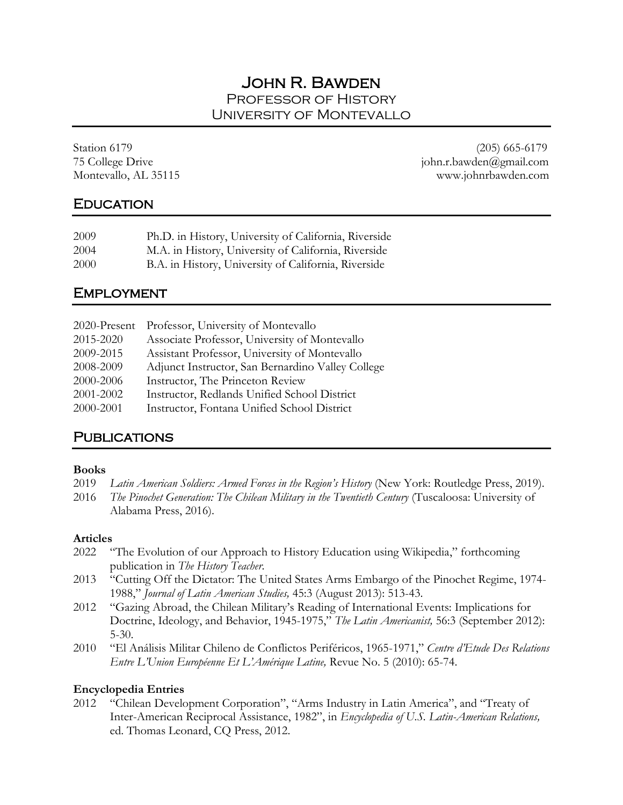# John R. Bawden Professor of History University of Montevallo

Station 6179 (205) 665-6179 75 College Drive john.r.bawden@gmail.com Montevallo, AL 35115 www.johnrbawden.com

## **EDUCATION**

| 2009 | Ph.D. in History, University of California, Riverside |
|------|-------------------------------------------------------|
| 2004 | M.A. in History, University of California, Riverside  |
| 2000 | B.A. in History, University of California, Riverside  |

## **EMPLOYMENT**

|           | 2020-Present Professor, University of Montevallo  |
|-----------|---------------------------------------------------|
| 2015-2020 | Associate Professor, University of Montevallo     |
| 2009-2015 | Assistant Professor, University of Montevallo     |
| 2008-2009 | Adjunct Instructor, San Bernardino Valley College |
| 2000-2006 | Instructor, The Princeton Review                  |
| 2001-2002 | Instructor, Redlands Unified School District      |
| 2000-2001 | Instructor, Fontana Unified School District       |

# **PUBLICATIONS**

### **Books**

- 2019 *Latin American Soldiers: Armed Forces in the Region's History* (New York: Routledge Press, 2019).
- 2016 *The Pinochet Generation: The Chilean Military in the Twentieth Century* (Tuscaloosa: University of Alabama Press, 2016).

### **Articles**

- 2022 "The Evolution of our Approach to History Education using Wikipedia," forthcoming publication in *The History Teacher*.
- 2013 "Cutting Off the Dictator: The United States Arms Embargo of the Pinochet Regime, 1974- 1988," *Journal of Latin American Studies,* 45:3 (August 2013): 513-43.
- 2012 "Gazing Abroad, the Chilean Military's Reading of International Events: Implications for Doctrine, Ideology, and Behavior, 1945-1975," *The Latin Americanist,* 56:3 (September 2012): 5-30.
- 2010 "El Análisis Militar Chileno de Conflictos Periféricos, 1965-1971," *Centre d'Etude Des Relations Entre L'Union Européenne Et L'Amérique Latine,* Revue No. 5 (2010): 65-74.

## **Encyclopedia Entries**

2012 "Chilean Development Corporation", "Arms Industry in Latin America", and "Treaty of Inter-American Reciprocal Assistance, 1982", in *Encyclopedia of U.S. Latin-American Relations,* ed. Thomas Leonard, CQ Press, 2012.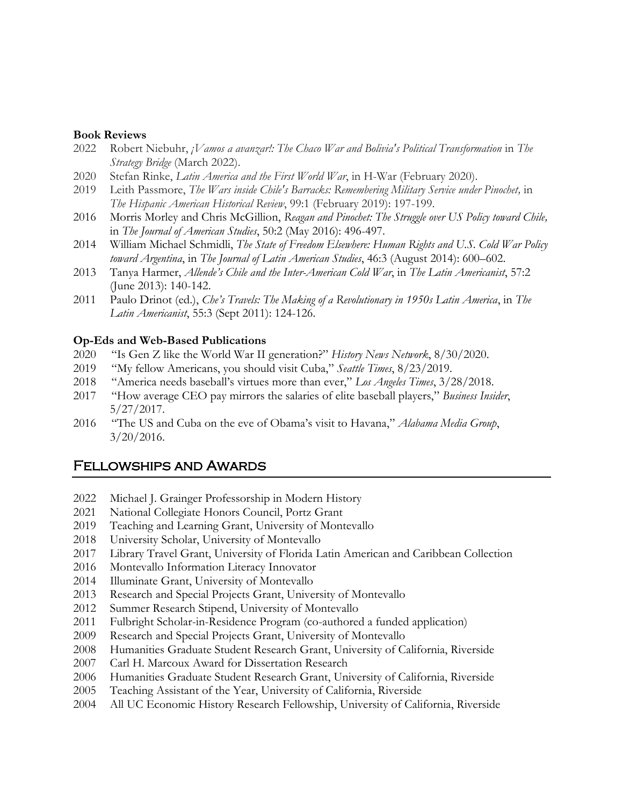#### **Book Reviews**

- Robert Niebuhr, *¡Vamos a avanzar!: The Chaco War and Bolivia's Political Transformation* in *The Strategy Bridge* (March 2022).
- Stefan Rinke, *Latin America and the First World War*, in H-War (February 2020).
- Leith Passmore, *The Wars inside Chile's Barracks: Remembering Military Service under Pinochet,* in *The Hispanic American Historical Review*, 99:1 (February 2019): 197-199.
- Morris Morley and Chris McGillion, *Reagan and Pinochet: The Struggle over US Policy toward Chile,* in *The Journal of American Studies*, 50:2 (May 2016): 496-497.
- William Michael Schmidli, *The State of Freedom Elsewhere: Human Rights and U.S. Cold War Policy toward Argentina*, in *The Journal of Latin American Studies*, 46:3 (August 2014): 600–602.
- Tanya Harmer, *Allende's Chile and the Inter-American Cold War*, in *The Latin Americanist*, 57:2 (June 2013): 140-142.
- Paulo Drinot (ed.), *Che's Travels: The Making of a Revolutionary in 1950s Latin America*, in *The Latin Americanist*, 55:3 (Sept 2011): 124-126.

#### **Op-Eds and Web-Based Publications**

- "Is Gen Z like the World War II generation?" *History News Network*, 8/30/2020.
- "My fellow Americans, you should visit Cuba," *Seattle Times*, 8/23/2019.
- "America needs baseball's virtues more than ever," *Los Angeles Times*, 3/28/2018.
- "How average CEO pay mirrors the salaries of elite baseball players," *Business Insider*, 5/27/2017.
- "The US and Cuba on the eve of Obama's visit to Havana," *Alabama Media Group*, 3/20/2016.

## Fellowships and Awards

- Michael J. Grainger Professorship in Modern History
- National Collegiate Honors Council, Portz Grant
- Teaching and Learning Grant, University of Montevallo
- University Scholar, University of Montevallo
- Library Travel Grant, University of Florida Latin American and Caribbean Collection
- Montevallo Information Literacy Innovator
- Illuminate Grant, University of Montevallo
- Research and Special Projects Grant, University of Montevallo
- Summer Research Stipend, University of Montevallo
- Fulbright Scholar-in-Residence Program (co-authored a funded application)
- Research and Special Projects Grant, University of Montevallo
- Humanities Graduate Student Research Grant, University of California, Riverside
- Carl H. Marcoux Award for Dissertation Research
- Humanities Graduate Student Research Grant, University of California, Riverside
- Teaching Assistant of the Year, University of California, Riverside
- All UC Economic History Research Fellowship, University of California, Riverside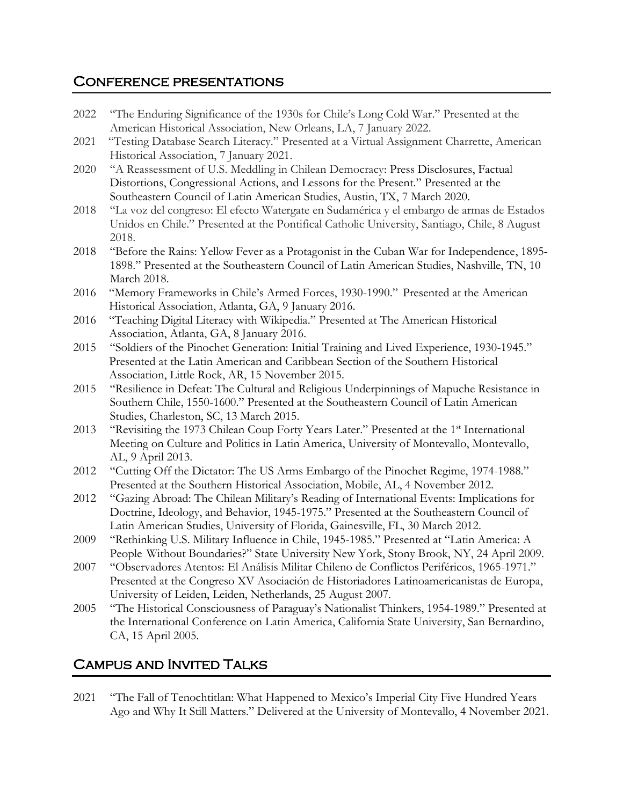# Conference presentations

- 2022 "The Enduring Significance of the 1930s for Chile's Long Cold War." Presented at the American Historical Association, New Orleans, LA, 7 January 2022.
- 2021 "Testing Database Search Literacy." Presented at a Virtual Assignment Charrette, American Historical Association, 7 January 2021.
- 2020 "A Reassessment of U.S. Meddling in Chilean Democracy: Press Disclosures, Factual Distortions, Congressional Actions, and Lessons for the Present." Presented at the Southeastern Council of Latin American Studies, Austin, TX, 7 March 2020.
- 2018 "La voz del congreso: El efecto Watergate en Sudamérica y el embargo de armas de Estados Unidos en Chile." Presented at the Pontifical Catholic University, Santiago, Chile, 8 August 2018.
- 2018 "Before the Rains: Yellow Fever as a Protagonist in the Cuban War for Independence, 1895- 1898." Presented at the Southeastern Council of Latin American Studies, Nashville, TN, 10 March 2018.
- 2016 "Memory Frameworks in Chile's Armed Forces, 1930-1990." Presented at the American Historical Association, Atlanta, GA, 9 January 2016.
- 2016 "Teaching Digital Literacy with Wikipedia." Presented at The American Historical Association, Atlanta, GA, 8 January 2016.
- 2015 "Soldiers of the Pinochet Generation: Initial Training and Lived Experience, 1930-1945." Presented at the Latin American and Caribbean Section of the Southern Historical Association, Little Rock, AR, 15 November 2015.
- 2015 "Resilience in Defeat: The Cultural and Religious Underpinnings of Mapuche Resistance in Southern Chile, 1550-1600." Presented at the Southeastern Council of Latin American Studies, Charleston, SC, 13 March 2015.
- 2013 "Revisiting the 1973 Chilean Coup Forty Years Later." Presented at the 1<sup>st</sup> International Meeting on Culture and Politics in Latin America, University of Montevallo, Montevallo, AL, 9 April 2013.
- 2012 "Cutting Off the Dictator: The US Arms Embargo of the Pinochet Regime, 1974-1988." Presented at the Southern Historical Association, Mobile, AL, 4 November 2012.
- 2012 "Gazing Abroad: The Chilean Military's Reading of International Events: Implications for Doctrine, Ideology, and Behavior, 1945-1975." Presented at the Southeastern Council of Latin American Studies, University of Florida, Gainesville, FL, 30 March 2012.
- 2009 "Rethinking U.S. Military Influence in Chile, 1945-1985." Presented at "Latin America: A People Without Boundaries?" State University New York, Stony Brook, NY, 24 April 2009.
- 2007 "Observadores Atentos: El Análisis Militar Chileno de Conflictos Periféricos, 1965-1971." Presented at the Congreso XV Asociación de Historiadores Latinoamericanistas de Europa, University of Leiden, Leiden, Netherlands, 25 August 2007.
- 2005 "The Historical Consciousness of Paraguay's Nationalist Thinkers, 1954-1989." Presented at the International Conference on Latin America, California State University, San Bernardino, CA, 15 April 2005.

# Campus and Invited Talks

2021 "The Fall of Tenochtitlan: What Happened to Mexico's Imperial City Five Hundred Years Ago and Why It Still Matters." Delivered at the University of Montevallo, 4 November 2021.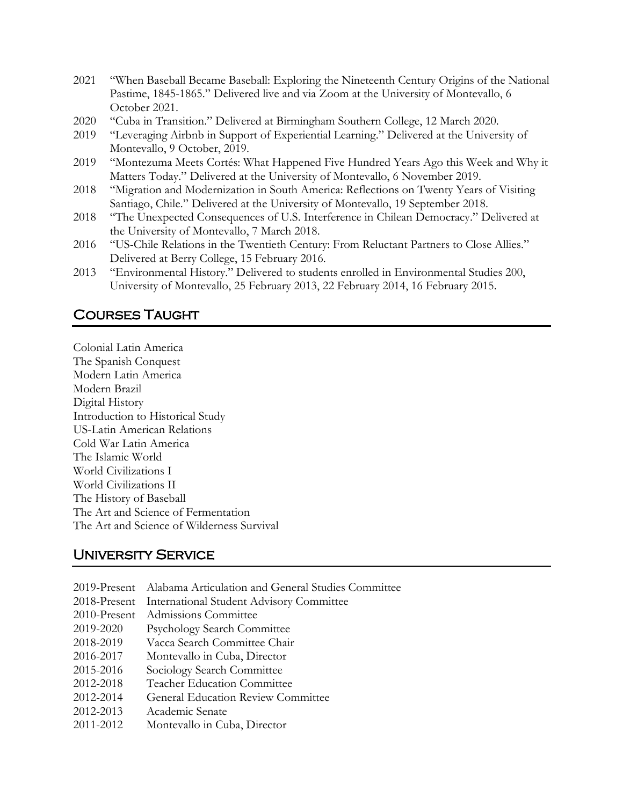- 2021 "When Baseball Became Baseball: Exploring the Nineteenth Century Origins of the National Pastime, 1845-1865." Delivered live and via Zoom at the University of Montevallo, 6 October 2021.
- 2020 "Cuba in Transition." Delivered at Birmingham Southern College, 12 March 2020.
- 2019 "Leveraging Airbnb in Support of Experiential Learning." Delivered at the University of Montevallo, 9 October, 2019.
- 2019 "Montezuma Meets Cortés: What Happened Five Hundred Years Ago this Week and Why it Matters Today." Delivered at the University of Montevallo, 6 November 2019.
- 2018 "Migration and Modernization in South America: Reflections on Twenty Years of Visiting Santiago, Chile." Delivered at the University of Montevallo, 19 September 2018.
- 2018 "The Unexpected Consequences of U.S. Interference in Chilean Democracy." Delivered at the University of Montevallo, 7 March 2018.
- 2016 "US-Chile Relations in the Twentieth Century: From Reluctant Partners to Close Allies." Delivered at Berry College, 15 February 2016.
- 2013 "Environmental History." Delivered to students enrolled in Environmental Studies 200, University of Montevallo, 25 February 2013, 22 February 2014, 16 February 2015.

# Courses Taught

Colonial Latin America The Spanish Conquest Modern Latin America Modern Brazil Digital History Introduction to Historical Study US-Latin American Relations Cold War Latin America The Islamic World World Civilizations I World Civilizations II The History of Baseball The Art and Science of Fermentation The Art and Science of Wilderness Survival

# University Service

| 2019-Present Alabama Articulation and General Studies Committee |
|-----------------------------------------------------------------|
| 2018-Present International Student Advisory Committee           |
| 2010-Present Admissions Committee                               |
| <b>Psychology Search Committee</b>                              |
| Vacca Search Committee Chair                                    |
| Montevallo in Cuba, Director                                    |
| Sociology Search Committee                                      |
| <b>Teacher Education Committee</b>                              |
| <b>General Education Review Committee</b>                       |
| Academic Senate                                                 |
| Montevallo in Cuba, Director                                    |
|                                                                 |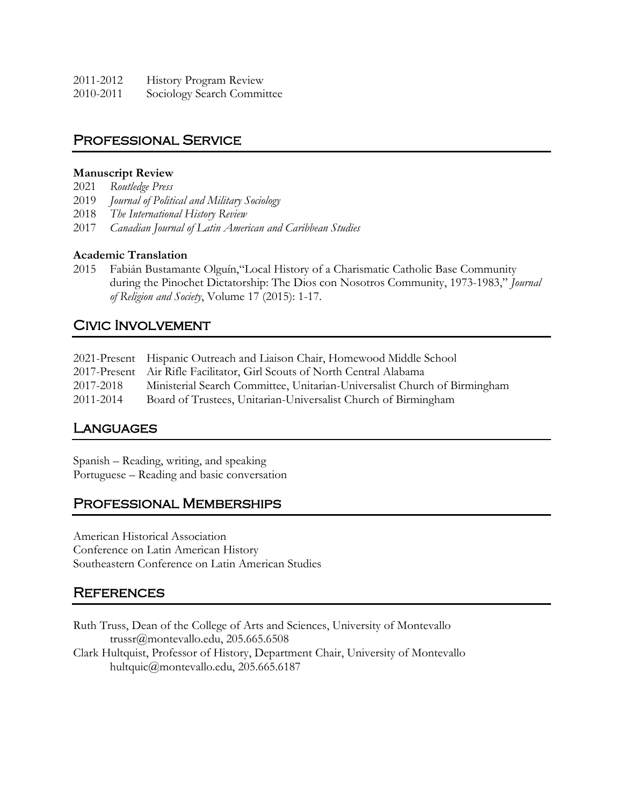| 2011-2012 | <b>History Program Review</b> |
|-----------|-------------------------------|
| 2010-2011 | Sociology Search Committee    |

## Professional Service

### **Manuscript Review**

- 2021 *Routledge Press*
- 2019 *Journal of Political and Military Sociology*
- 2018 *The International History Review*
- 2017 *Canadian Journal of Latin American and Caribbean Studies*

### **Academic Translation**

2015 Fabián Bustamante Olguín,"Local History of a Charismatic Catholic Base Community during the Pinochet Dictatorship: The Dios con Nosotros Community, 1973-1983," *Journal of Religion and Society*, Volume 17 (2015): 1-17.

# Civic Involvement

|           | 2021-Present Hispanic Outreach and Liaison Chair, Homewood Middle School  |
|-----------|---------------------------------------------------------------------------|
|           | 2017-Present Air Rifle Facilitator, Girl Scouts of North Central Alabama  |
| 2017-2018 | Ministerial Search Committee, Unitarian-Universalist Church of Birmingham |
| 2011-2014 | Board of Trustees, Unitarian-Universalist Church of Birmingham            |

## **LANGUAGES**

Spanish – Reading, writing, and speaking Portuguese – Reading and basic conversation

## Professional Memberships

American Historical Association Conference on Latin American History Southeastern Conference on Latin American Studies

## **REFERENCES**

Ruth Truss, Dean of the College of Arts and Sciences, University of Montevallo trussr@montevallo.edu, 205.665.6508 Clark Hultquist, Professor of History, Department Chair, University of Montevallo hultquic@montevallo.edu, 205.665.6187